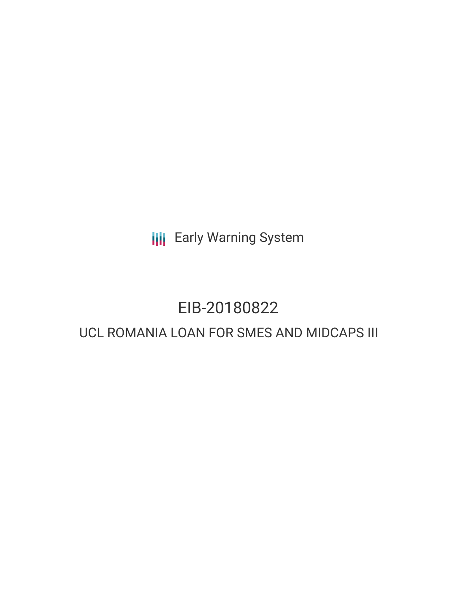**III** Early Warning System

# EIB-20180822

## UCL ROMANIA LOAN FOR SMES AND MIDCAPS III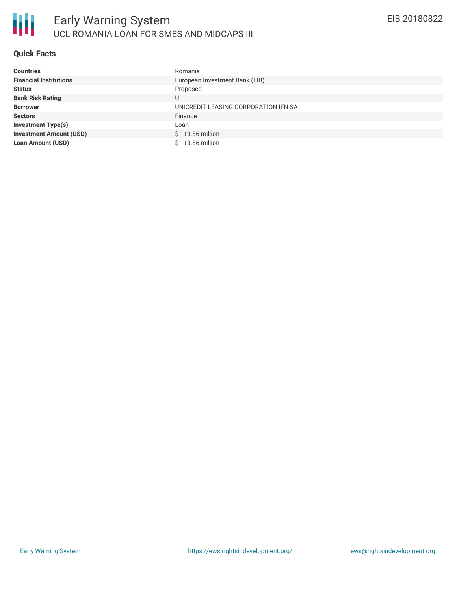### **Quick Facts**

| <b>Countries</b>               | Romania                              |
|--------------------------------|--------------------------------------|
| <b>Financial Institutions</b>  | European Investment Bank (EIB)       |
| <b>Status</b>                  | Proposed                             |
| <b>Bank Risk Rating</b>        | U                                    |
| <b>Borrower</b>                | UNICREDIT LEASING CORPORATION IFN SA |
| <b>Sectors</b>                 | Finance                              |
| <b>Investment Type(s)</b>      | Loan                                 |
| <b>Investment Amount (USD)</b> | \$113.86 million                     |
| <b>Loan Amount (USD)</b>       | \$113.86 million                     |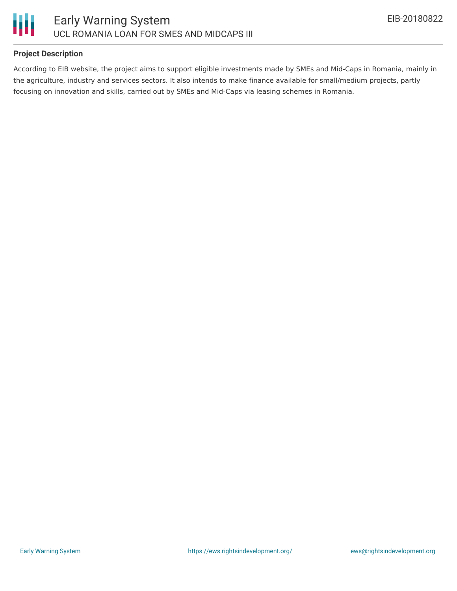

#### **Project Description**

According to EIB website, the project aims to support eligible investments made by SMEs and Mid-Caps in Romania, mainly in the agriculture, industry and services sectors. It also intends to make finance available for small/medium projects, partly focusing on innovation and skills, carried out by SMEs and Mid-Caps via leasing schemes in Romania.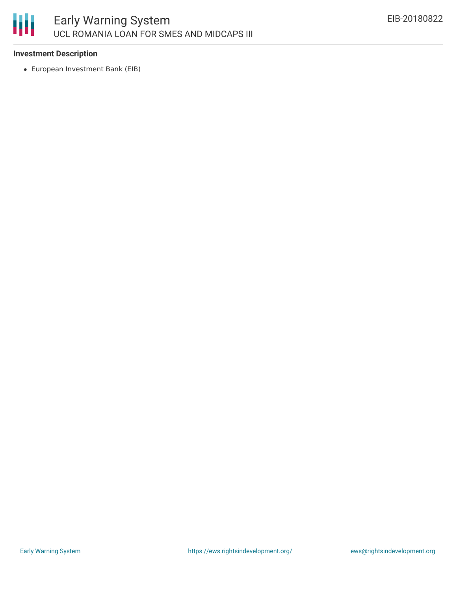

#### **Investment Description**

European Investment Bank (EIB)